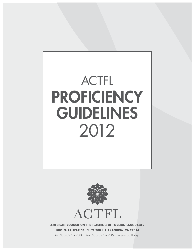# **ACTFL** PROFICIENCY GUIDELINES 2012



**AMERICAN COUNCIL ON THE TEACHING OF FOREIGN LANGUAGES 1001 N. FAIRFAX ST., SUITE 200 | ALEXANDRIA, VA 22314** ph 703-894-2900 | fax 703-894-2905 | www.actfl.org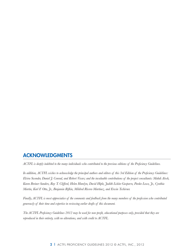### ACKNOWLEDGMENTS

*ACTFL is deeply indebted to the many individuals who contributed to the previous editions of the Proficiency Guidelines.* 

*In addition, ACTFL wishes to acknowledge the principal authors and editors of this 3rd Edition of the Proficiency Guidelines: Elvira Swender, Daniel J. Conrad, and Robert Vicars; and the invaluable contributions of the project consultants: Mahdi Alosh, Karen Breiner-Sanders, Ray T. Clifford, Helen Hamlyn, David Hiple, Judith Liskin-Gasparro, Pardee Lowe, Jr., Cynthia Martin, Karl F. Otto, Jr., Benjamin Rifkin, Mildred Rivera-Martinez, and Erwin Tschirner.*

*Finally, ACTFL is most appreciative of the comments and feedback from the many members of the profession who contributed generously of their time and expertise in reviewing earlier drafts of this document.*

*The ACTFL Proficiency Guidelines 2012 may be used for non-profit, educational purposes only, provided that they are reproduced in their entirety, with no alterations, and with credit to ACTFL.*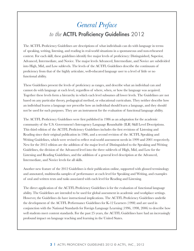## *General Preface to the* ACTFL Proficiency Guidelines 2012

The ACTFL Proficiency Guidelines are descriptions of what individuals can do with language in terms of speaking, writing, listening, and reading in real-world situations in a spontaneous and non-rehearsed context. For each skill, these guidelines identify five major levels of proficiency: Distinguished, Superior, Advanced, Intermediate, and Novice. The major levels Advanced, Intermediate, and Novice are subdivided into High, Mid, and Low sublevels. The levels of the ACTFL Guidelines describe the continuum of proficiency from that of the highly articulate, well-educated language user to a level of little or no functional ability.

These Guidelines present the levels of proficiency as ranges, and describe what an individual can and cannot do with language at each level, regardless of where, when, or how the language was acquired. Together these levels form a hierarchy in which each level subsumes all lower levels. The Guidelines are not based on any particular theory, pedagogical method, or educational curriculum. They neither describe how an individual learns a language nor prescribe how an individual should learn a language, and they should not be used for such purposes. They are an instrument for the evaluation of functional language ability.

The ACTFL Proficiency Guidelines were first published in 1986 as an adaptation for the academic community of the U.S. Government's Interagency Language Roundtable (ILR) Skill Level Descriptions. This third edition of the ACTFL Proficiency Guidelines includes the first revisions of Listening and Reading since their original publication in 1986, and a second revision of the ACTFL Speaking and Writing Guidelines, which were revised to reflect real-world assessment needs in 1999 and 2001 respectively. New for the 2012 edition are the addition of the major level of Distinguished to the Speaking and Writing Guidelines, the division of the Advanced level into the three sublevels of High, Mid, and Low for the Listening and Reading Guidelines, and the addition of a general level description at the Advanced, Intermediate, and Novice levels for all skills.

Another new feature of the 2012 Guidelines is their publication online, supported with glossed terminology and annotated, multimedia samples of performance at each level for Speaking and Writing, and examples of oral and written texts and tasks associated with each level for Reading and Listening.

The direct application of the ACTFL Proficiency Guidelines is for the evaluation of functional language ability. The Guidelines are intended to be used for global assessment in academic and workplace settings. However, the Guidelines do have instructional implications. The ACTFL Proficiency Guidelines underlie the development of the ACTFL Performance Guidelines for K-12 Learners (1998) and are used in conjunction with the National Standards for Foreign Language Learning (1996, 1998, 2006) to describe how well students meet content standards. For the past 25 years, the ACTFL Guidelines have had an increasingly profound impact on language teaching and learning in the United States.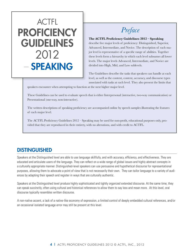## **ACTFL PROFICIENCY** GUIDELINES 2012  *–* SPEAKING

*Preface*

#### **The ACTFL Proficiency Guidelines 2012 – Speaking**

describe five major levels of proficiency: Distinguished, Superior, Advanced, Intermediate, and Novice. The description of each major level is representative of a specific range of abilities. Together these levels form a hierarchy in which each level subsumes all lower levels. The major levels Advanced, Intermediate, and Novice are divided into High, Mid, and Low sublevels.

The Guidelines describe the tasks that speakers can handle at each level, as well as the content, context, accuracy, and discourse types associated with tasks at each level. They also present the limits that

speakers encounter when attempting to function at the next higher major level.

These Guidelines can be used to evaluate speech that is either Interpersonal (interactive, two-way communication) or Presentational (one-way, non-interactive).

The written descriptions of speaking proficiency are accompanied online by speech samples illustrating the features of each major level.

The ACTFL Proficiency Guidelines 2012 – Speaking may be used for non-profit, educational purposes only, provided that they are reproduced in their entirety, with no alterations, and with credit to ACTFL.

#### **DISTINGUISHED**

Speakers at the Distinguished level are able to use language skillfully, and with accuracy, efficiency, and effectiveness. They are educated and articulate users of the language. They can reflect on a wide range of global issues and highly abstract concepts in a culturally appropriate manner. Distinguished-level speakers can use persuasive and hypothetical discourse for representational purposes, allowing them to advocate a point of view that is not necessarily their own. They can tailor language to a variety of audiences by adapting their speech and register in ways that are culturally authentic.

Speakers at the Distinguished level produce highly sophisticated and tightly organized extended discourse. At the same time, they can speak succinctly, often using cultural and historical references to allow them to say less and mean more. At this level, oral discourse typically resembles written discourse.

A non-native accent, a lack of a native-like economy of expression, a limited control of deeply embedded cultural references, and/or an occasional isolated language error may still be present at this level.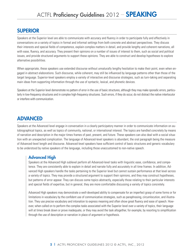## SUPERIOR

Speakers at the Superior level are able to communicate with accuracy and fluency in order to participate fully and effectively in conversations on a variety of topics in formal and informal settings from both concrete and abstract perspectives. They discuss their interests and special fields of competence, explain complex matters in detail, and provide lengthy and coherent narrations, all with ease, fluency, and accuracy. They present their opinions on a number of issues of interest to them, such as social and political issues, and provide structured arguments to support these opinions. They are able to construct and develop hypotheses to explore alternative possibilities.

When appropriate, these speakers use extended discourse without unnaturally lengthy hesitation to make their point, even when engaged in abstract elaborations. Such discourse, while coherent, may still be influenced by language patterns other than those of the target language. Superior-level speakers employ a variety of interactive and discourse strategies, such as turn-taking and separating main ideas from supporting information through the use of syntactic, lexical, and phonetic devices.

Speakers at the Superior level demonstrate no pattern of error in the use of basic structures, although they may make sporadic errors, particularly in low-frequency structures and in complex high-frequency structures. Such errors, if they do occur, do not distract the native interlocutor or interfere with communication.

## ADVANCED

Speakers at the Advanced level engage in conversation in a clearly participatory manner in order to communicate information on autobiographical topics, as well as topics of community, national, or international interest. The topics are handled concretely by means of narration and description in the major times frames of past, present, and future. These speakers can also deal with a social situation with an unexpected complication. The language of Advanced-level speakers is abundant, the oral paragraph being the measure of Advanced-level length and discourse. Advanced-level speakers have sufficient control of basic structures and generic vocabulary to be understood by native speakers of the language, including those unaccustomed to non-native speech.

#### Advanced High

Speakers at the Advanced High sublevel perform all Advanced-level tasks with linguistic ease, confidence, and competence. They are consistently able to explain in detail and narrate fully and accurately in all time frames. In addition, Advanced High speakers handle the tasks pertaining to the Superior level but cannot sustain performance at that level across a variety of topics. They may provide a structured argument to support their opinions, and they may construct hypotheses, but patterns of error appear. They can discuss some topics abstractly, especially those relating to their particular interests and special fields of expertise, but in general, they are more comfortable discussing a variety of topics concretely.

Advanced High speakers may demonstrate a well-developed ability to compensate for an imperfect grasp of some forms or for limitations in vocabulary by the confident use of communicative strategies, such as paraphrasing, circumlocution, and illustration. They use precise vocabulary and intonation to express meaning and often show great fluency and ease of speech. However, when called on to perform the complex tasks associated with the Superior level over a variety of topics, their language will at times break down or prove inadequate, or they may avoid the task altogether, for example, by resorting to simplification through the use of description or narration in place of argument or hypothesis.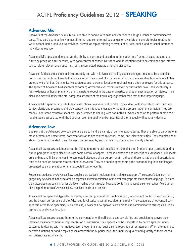#### Advanced Mid

Speakers at the Advanced Mid sublevel are able to handle with ease and confidence a large number of communicative tasks. They participate actively in most informal and some formal exchanges on a variety of concrete topics relating to work, school, home, and leisure activities, as well as topics relating to events of current, public, and personal interest or individual relevance.

Advanced Mid speakers demonstrate the ability to narrate and describe in the major time frames of past, present, and future by providing a full account, with good control of aspect. Narration and description tend to be combined and interwoven to relate relevant and supporting facts in connected, paragraph-length discourse.

Advanced Mid speakers can handle successfully and with relative ease the linguistic challenges presented by a complication or unexpected turn of events that occurs within the context of a routine situation or communicative task with which they are otherwise familiar. Communicative strategies such as circumlocution or rephrasing are often employed for this purpose. The speech of Advanced Mid speakers performing Advanced-level tasks is marked by substantial flow. Their vocabulary is fairly extensive although primarily generic in nature, except in the case of a particular area of specialization or interest. Their discourse may still reflect the oral paragraph structure of their own language rather than that of the target language.

Advanced Mid speakers contribute to conversations on a variety of familiar topics, dealt with concretely, with much accuracy, clarity and precision, and they convey their intended message without misrepresentation or confusion. They are readily understood by native speakers unaccustomed to dealing with non-natives. When called on to perform functions or handle topics associated with the Superior level, the quality and/or quantity of their speech will generally decline.

#### Advanced Low

Speakers at the Advanced Low sublevel are able to handle a variety of communicative tasks. They are able to participate in most informal and some formal conversations on topics related to school, home, and leisure activities. They can also speak about some topics related to employment, current events, and matters of public and community interest.

Advanced Low speakers demonstrate the ability to narrate and describe in the major time frames of past, present, and future in paragraph-length discourse with some control of aspect. In these narrations and descriptions, Advanced Low speakers combine and link sentences into connected discourse of paragraph length, although these narrations and descriptions tend to be handled separately rather than interwoven. They can handle appropriately the essential linguistic challenges presented by a complication or an unexpected turn of events.

Responses produced by Advanced Low speakers are typically not longer than a single paragraph. The speaker's dominant language may be evident in the use of false cognates, literal translations, or the oral paragraph structure of that language. At times their discourse may be minimal for the level, marked by an irregular flow, and containing noticeable self-correction. More generally, the performance of Advanced Low speakers tends to be uneven.

Advanced Low speech is typically marked by a certain grammatical roughness (e.g., inconsistent control of verb endings), but the overall performance of the Advanced-level tasks is sustained, albeit minimally. The vocabulary of Advanced Low speakers often lacks specificity. Nevertheless, Advanced Low speakers are able to use communicative strategies such as rephrasing and circumlocution.

Advanced Low speakers contribute to the conversation with sufficient accuracy, clarity, and precision to convey their intended message without misrepresentation or confusion. Their speech can be understood by native speakers unaccustomed to dealing with non-natives, even though this may require some repetition or restatement. When attempting to perform functions or handle topics associated with the Superior level, the linguistic quality and quantity of their speech will deteriorate significantly.

#### 6 | ACTFL PROFICIENCY GUIDELINES 2012 © ACTFL, INC., 2012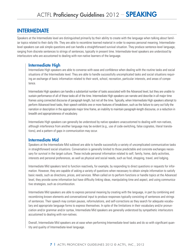## INTERMEDIATE

Speakers at the Intermediate level are distinguished primarily by their ability to create with the language when talking about familiar topics related to their daily life. They are able to recombine learned material in order to express personal meaning. Intermediatelevel speakers can ask simple questions and can handle a straightforward survival situation. They produce sentence-level language, ranging from discrete sentences to strings of sentences, typically in present time. Intermediate-level speakers are understood by interlocutors who are accustomed to dealing with non-native learners of the language.

#### Intermediate High

Intermediate High speakers are able to converse with ease and confidence when dealing with the routine tasks and social situations of the Intermediate level. They are able to handle successfully uncomplicated tasks and social situations requiring an exchange of basic information related to their work, school, recreation, particular interests, and areas of competence.

Intermediate High speakers can handle a substantial number of tasks associated with the Advanced level, but they are unable to sustain performance of all of these tasks all of the time. Intermediate High speakers can narrate and describe in all major time frames using connected discourse of paragraph length, but not all the time. Typically, when Intermediate High speakers attempt to perform Advanced-level tasks, their speech exhibits one or more features of breakdown, such as the failure to carry out fully the narration or description in the appropriate major time frame, an inability to maintain paragraph-length discourse, or a reduction in breadth and appropriateness of vocabulary.

Intermediate High speakers can generally be understood by native speakers unaccustomed to dealing with non-natives, although interference from another language may be evident (e.g., use of code-switching, false cognates, literal translations), and a pattern of gaps in communication may occur.

#### Intermediate Mid

Speakers at the Intermediate Mid sublevel are able to handle successfully a variety of uncomplicated communicative tasks in straightforward social situations. Conversation is generally limited to those predictable and concrete exchanges necessary for survival in the target culture. These include personal information related to self, family, home, daily activities, interests and personal preferences, as well as physical and social needs, such as food, shopping, travel, and lodging.

Intermediate Mid speakers tend to function reactively, for example, by responding to direct questions or requests for information. However, they are capable of asking a variety of questions when necessary to obtain simple information to satisfy basic needs, such as directions, prices, and services. When called on to perform functions or handle topics at the Advanced level, they provide some information but have difficulty linking ideas, manipulating time and aspect, and using communicative strategies, such as circumlocution.

Intermediate Mid speakers are able to express personal meaning by creating with the language, in part by combining and recombining known elements and conversational input to produce responses typically consisting of sentences and strings of sentences. Their speech may contain pauses, reformulations, and self-corrections as they search for adequate vocabulary and appropriate language forms to express themselves. In spite of the limitations in their vocabulary and/or pronunciation and/or grammar and/or syntax, Intermediate Mid speakers are generally understood by sympathetic interlocutors accustomed to dealing with non-natives.

Overall, Intermediate Mid speakers are at ease when performing Intermediate-level tasks and do so with significant quantity and quality of Intermediate-level language.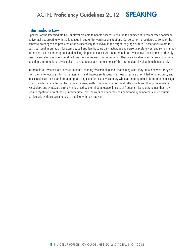#### Intermediate Low

Speakers at the Intermediate Low sublevel are able to handle successfully a limited number of uncomplicated communicative tasks by creating with the language in straightforward social situations. Conversation is restricted to some of the concrete exchanges and predictable topics necessary for survival in the target-language culture. These topics relate to basic personal information; for example, self and family, some daily activities and personal preferences, and some immediate needs, such as ordering food and making simple purchases. At the Intermediate Low sublevel, speakers are primarily reactive and struggle to answer direct questions or requests for information. They are also able to ask a few appropriate questions. Intermediate Low speakers manage to sustain the functions of the Intermediate level, although just barely.

Intermediate Low speakers express personal meaning by combining and recombining what they know and what they hear from their interlocutors into short statements and discrete sentences. Their responses are often filled with hesitancy and inaccuracies as they search for appropriate linguistic forms and vocabulary while attempting to give form to the message. Their speech is characterized by frequent pauses, ineffective reformulations and self-corrections. Their pronunciation, vocabulary, and syntax are strongly influenced by their first language. In spite of frequent misunderstandings that may require repetition or rephrasing, Intermediate Low speakers can generally be understood by sympathetic interlocutors, particularly by those accustomed to dealing with non-natives.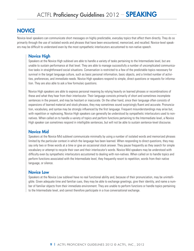## **NOVICE**

Novice-level speakers can communicate short messages on highly predictable, everyday topics that affect them directly. They do so primarily through the use of isolated words and phrases that have been encountered, memorized, and recalled. Novice-level speakers may be difficult to understand even by the most sympathetic interlocutors accustomed to non-native speech.

#### Novice High

Speakers at the Novice High sublevel are able to handle a variety of tasks pertaining to the Intermediate level, but are unable to sustain performance at that level. They are able to manage successfully a number of uncomplicated communicative tasks in straightforward social situations. Conversation is restricted to a few of the predictable topics necessary for survival in the target language culture, such as basic personal information, basic objects, and a limited number of activities, preferences, and immediate needs. Novice High speakers respond to simple, direct questions or requests for information. They are also able to ask a few formulaic questions.

Novice High speakers are able to express personal meaning by relying heavily on learned phrases or recombinations of these and what they hear from their interlocutor. Their language consists primarily of short and sometimes incomplete sentences in the present, and may be hesitant or inaccurate. On the other hand, since their language often consists of expansions of learned material and stock phrases, they may sometimes sound surprisingly fluent and accurate. Pronunciation, vocabulary, and syntax may be strongly influenced by the first language. Frequent misunderstandings may arise but, with repetition or rephrasing, Novice High speakers can generally be understood by sympathetic interlocutors used to nonnatives. When called on to handle a variety of topics and perform functions pertaining to the Intermediate level, a Novice High speaker can sometimes respond in intelligible sentences, but will not be able to sustain sentence-level discourse.

#### Novice Mid

Speakers at the Novice Mid sublevel communicate minimally by using a number of isolated words and memorized phrases limited by the particular context in which the language has been learned. When responding to direct questions, they may say only two or three words at a time or give an occasional stock answer. They pause frequently as they search for simple vocabulary or attempt to recycle their own and their interlocutor's words. Novice Mid speakers may be understood with difficulty even by sympathetic interlocutors accustomed to dealing with non-natives. When called on to handle topics and perform functions associated with the Intermediate level, they frequently resort to repetition, words from their native language, or silence.

#### Novice Low

Speakers at the Novice Low sublevel have no real functional ability and, because of their pronunciation, may be unintelligible. Given adequate time and familiar cues, they may be able to exchange greetings, give their identity, and name a number of familiar objects from their immediate environment. They are unable to perform functions or handle topics pertaining to the Intermediate level, and cannot therefore participate in a true conversational exchange.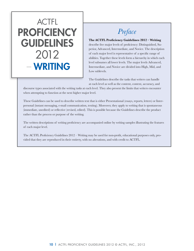## **ACTFL PROFICIENCY** GUIDELINES 2012  *–* WRITING

## *Preface*

#### **The ACTFL Proficiency Guidelines 2012 – Writing**

describe five major levels of proficiency: Distinguished, Superior, Advanced, Intermediate, and Novice. The description of each major level is representative of a specific range of abilities. Together these levels form a hierarchy in which each level subsumes all lower levels. The major levels Advanced, Intermediate, and Novice are divided into High, Mid, and Low sublevels.

The Guidelines describe the tasks that writers can handle at each level as well as the content, context, accuracy, and

discourse types associated with the writing tasks at each level. They also present the limits that writers encounter when attempting to function at the next higher major level.

These Guidelines can be used to describe written text that is either Presentational (essays, reports, letters) or Interpersonal (instant messaging, e-mail communication, texting). Moreover, they apply to writing that is spontaneous (immediate, unedited) or reflective (revised, edited). This is possible because the Guidelines describe the product rather than the process or purpose of the writing.

The written descriptions of writing proficiency are accompanied online by writing samples illustrating the features of each major level.

The ACTFL Proficiency Guidelines 2012 – Writing may be used for non-profit, educational purposes only, provided that they are reproduced in their entirety, with no alterations, and with credit to ACTFL.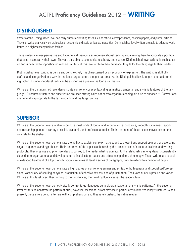## **DISTINGUISHED**

Writers at the Distinguished level can carry out formal writing tasks such as official correspondence, position papers, and journal articles. They can write analytically on professional, academic and societal issues. In addition, Distinguished-level writers are able to address world issues in a highly conceptualized fashion.

These writers can use persuasive and hypothetical discourse as representational techniques, allowing them to advocate a position that is not necessarily their own. They are also able to communicate subtlety and nuance. Distinguished-level writing is sophisticated and is directed to sophisticated readers. Writers at this level write to their audience; they tailor their language to their readers.

Distinguished-level writing is dense and complex; yet, it is characterized by an economy of expression. The writing is skillfully crafted and is organized in a way that reflects target-culture thought patterns. At the Distinguished level, length is not a determining factor. Distinguished-level texts can be as short as a poem or as long as a treatise.

Writers at the Distinguished level demonstrate control of complex lexical, grammatical, syntactic, and stylistic features of the language. Discourse structure and punctuation are used strategically, not only to organize meaning but also to enhance it. Conventions are generally appropriate to the text modality and the target culture.

### SUPERIOR

Writers at the Superior level are able to produce most kinds of formal and informal correspondence, in-depth summaries, reports, and research papers on a variety of social, academic, and professional topics. Their treatment of these issues moves beyond the concrete to the abstract.

Writers at the Superior level demonstrate the ability to explain complex matters, and to present and support opinions by developing cogent arguments and hypotheses. Their treatment of the topic is enhanced by the effective use of structure, lexicon, and writing protocols. They organize and prioritize ideas to convey to the reader what is significant. The relationship among ideas is consistently clear, due to organizational and developmental principles (e.g., cause and effect, comparison, chronology). These writers are capable of extended treatment of a topic which typically requires at least a series of paragraphs, but can extend to a number of pages.

Writers at the Superior level demonstrate a high degree of control of grammar and syntax, of both general and specialized/professional vocabulary, of spelling or symbol production, of cohesive devices, and of punctuation. Their vocabulary is precise and varied. Writers at this level direct their writing to their audiences; their writing fluency eases the reader's task.

Writers at the Superior level do not typically control target-language cultural, organizational, or stylistic patterns. At the Superior level, writers demonstrate no pattern of error; however, occasional errors may occur, particularly in low-frequency structures. When present, these errors do not interfere with comprehension, and they rarely distract the native reader.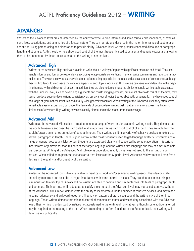## ADVANCED

Writers at the Advanced level are characterized by the ability to write routine informal and some formal correspondence, as well as narratives, descriptions, and summaries of a factual nature. They can narrate and describe in the major time frames of past, present, and future, using paraphrasing and elaboration to provide clarity. Advanced-level writers produce connected discourse of paragraph length and structure. At this level, writers show good control of the most frequently used structures and generic vocabulary, allowing them to be understood by those unaccustomed to the writing of non-natives.

#### Advanced High

Writers at the Advanced High sublevel are able to write about a variety of topics with significant precision and detail. They can handle informal and formal correspondence according to appropriate conventions. They can write summaries and reports of a factual nature. They can also write extensively about topics relating to particular interests and special areas of competence, although their writing tends to emphasize the concrete aspects of such topics. Advanced High writers can narrate and describe in the major time frames, with solid control of aspect. In addition, they are able to demonstrate the ability to handle writing tasks associated with the Superior level, such as developing arguments and constructing hypotheses, but are not able to do this all of the time; they cannot produce Superior-level writing consistently across a variety of topics treated abstractly or generally. They have good control of a range of grammatical structures and a fairly wide general vocabulary. When writing at the Advanced level, they often show remarkable ease of expression, but under the demands of Superior-level writing tasks, patterns of error appear. The linguistic limitations of Advanced High writing may occasionally distract the native reader from the message.

#### Advanced Mid

Writers at the Advanced Mid sublevel are able to meet a range of work and/or academic writing needs. They demonstrate the ability to narrate and describe with detail in all major time frames with good control of aspect. They are able to write straightforward summaries on topics of general interest. Their writing exhibits a variety of cohesive devices in texts up to several paragraphs in length. There is good control of the most frequently used target-language syntactic structures and a range of general vocabulary. Most often, thoughts are expressed clearly and supported by some elaboration. This writing incorporates organizational features both of the target language and the writer's first language and may at times resemble oral discourse. Writing at the Advanced Mid sublevel is understood readily by natives not used to the writing of nonnatives. When called on to perform functions or to treat issues at the Superior level, Advanced Mid writers will manifest a decline in the quality and/or quantity of their writing.

#### Advanced Low

Writers at the Advanced Low sublevel are able to meet basic work and/or academic writing needs. They demonstrate the ability to narrate and describe in major time frames with some control of aspect. They are able to compose simple summaries on familiar topics. Advanced Low writers are able to combine and link sentences into texts of paragraph length and structure. Their writing, while adequate to satisfy the criteria of the Advanced level, may not be substantive. Writers at the Advanced Low sublevel demonstrate the ability to incorporate a limited number of cohesive devices, and may resort to some redundancy and awkward repetition. They rely on patterns of oral discourse and the writing style of their first language. These writers demonstrate minimal control of common structures and vocabulary associated with the Advanced level. Their writing is understood by natives not accustomed to the writing of non-natives, although some additional effort may be required in the reading of the text. When attempting to perform functions at the Superior level, their writing will deteriorate significantly.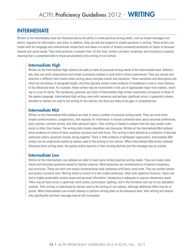## INTERMEDIATE

Writers at the Intermediate level are characterized by the ability to meet practical writing needs, such as simple messages and letters, requests for information, and notes. In addition, they can ask and respond to simple questions in writing. These writers can create with the language and communicate simple facts and ideas in a series of loosely connected sentences on topics of personal interest and social needs. They write primarily in present time. At this level, writers use basic vocabulary and structures to express meaning that is comprehensible to those accustomed to the writing of non-natives.

#### Intermediate High

Writers at the Intermediate High sublevel are able to meet all practical writing needs of the Intermediate level. Additionally, they can write compositions and simple summaries related to work and/or school experiences. They can narrate and describe in different time frames when writing about everyday events and situations. These narrations and descriptions are often but not always of paragraph length, and they typically contain some evidence of breakdown in one or more features of the Advanced level. For example, these writers may be inconsistent in the use of appropriate major time markers, resulting in a loss of clarity. The vocabulary, grammar, and style of Intermediate High writers essentially correspond to those of the spoken language. Intermediate High writing, even with numerous and perhaps significant errors, is generally comprehensible to natives not used to the writing of non-natives, but there are likely to be gaps in comprehension.

#### Intermediate Mid

Writers at the Intermediate Mid sublevel are able to meet a number of practical writing needs. They can write short, simple communications, compositions, and requests for information in loosely connected texts about personal preferences, daily routines, common events, and other personal topics. Their writing is framed in present time but may contain references to other time frames. The writing style closely resembles oral discourse. Writers at the Intermediate Mid sublevel show evidence of control of basic sentence structure and verb forms. This writing is best defined as a collection of discrete sentences and/or questions loosely strung together. There is little evidence of deliberate organization. Intermediate Mid writers can be understood readily by natives used to the writing of non-natives. When Intermediate Mid writers attempt Advanced-level writing tasks, the quality and/or quantity of their writing declines and the message may be unclear.

#### Intermediate Low

Writers at the Intermediate Low sublevel are able to meet some limited practical writing needs. They can create statements and formulate questions based on familiar material. Most sentences are recombinations of learned vocabulary and structures. These are short and simple conversational-style sentences with basic word order. They are written almost exclusively in present time. Writing tends to consist of a few simple sentences, often with repetitive structure. Topics are tied to highly predictable content areas and personal information. Vocabulary is adequate to express elementary needs. There may be basic errors in grammar, word choice, punctuation, spelling, and in the formation and use of non-alphabetic symbols. Their writing is understood by natives used to the writing of non-natives, although additional effort may be required. When Intermediate Low writers attempt to perform writing tasks at the Advanced level, their writing will deteriorate significantly and their message may be left incomplete.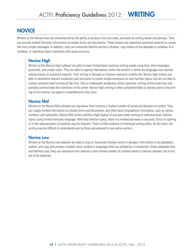## **NOVICE**

Writers at the Novice level are characterized by the ability to produce lists and notes, primarily by writing words and phrases. They can provide limited formulaic information on simple forms and documents. These writers can reproduce practiced material to convey the most simple messages. In addition, they can transcribe familiar words or phrases, copy letters of the alphabet or syllables of a syllabary, or reproduce basic characters with some accuracy.

#### Novice High

Writers at the Novice High sublevel are able to meet limited basic practical writing needs using lists, short messages, postcards, and simple notes. They are able to express themselves within the context in which the language was learned, relying mainly on practiced material. Their writing is focused on common elements of daily life. Novice High writers are able to recombine learned vocabulary and structures to create simple sentences on very familiar topics, but are not able to sustain sentence-level writing all the time. Due to inadequate vocabulary and/or grammar, writing at this level may only partially communicate the intentions of the writer. Novice High writing is often comprehensible to natives used to the writing of non-natives, but gaps in comprehension may occur.

#### Novice Mid

Writers at the Novice Mid sublevel can reproduce from memory a modest number of words and phrases in context. They can supply limited information on simple forms and documents, and other basic biographical information, such as names, numbers, and nationality. Novice Mid writers exhibit a high degree of accuracy when writing on well-practiced, familiar topics using limited formulaic language. With less familiar topics, there is a marked decrease in accuracy. Errors in spelling or in the representation of symbols may be frequent. There is little evidence of functional writing skills. At this level, the writing may be difficult to understand even by those accustomed to non-native writers.

#### Novice Low

Writers at the Novice Low sublevel are able to copy or transcribe familiar words or phrases, form letters in an alphabetic system, and copy and produce isolated, basic strokes in languages that use syllabaries or characters. Given adequate time and familiar cues, they can reproduce from memory a very limited number of isolated words or familiar phrases, but errors are to be expected.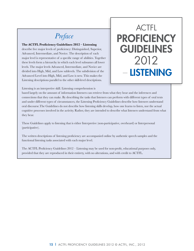## *Preface*

#### **The ACTFL Proficiency Guidelines 2012 – Listening**

describe five major levels of proficiency: Distinguished, Superior, Advanced, Intermediate, and Novice. The description of each major level is representative of a specific range of abilities. Together these levels form a hierarchy in which each level subsumes all lower levels. The major levels Advanced, Intermediate, and Novice are divided into High, Mid, and Low sublevels. The subdivision of the Advanced Level into High, Mid, and Low is new. This makes the Listening descriptions parallel to the other skill-level descriptions.



Listening is an interpretive skill. Listening comprehension is

based largely on the amount of information listeners can retrieve from what they hear and the inferences and connections that they can make. By describing the tasks that listeners can perform with different types of oral texts and under different types of circumstances, the Listening Proficiency Guidelines describe how listeners understand oral discourse.The Guidelines do not describe how listening skills develop, how one learns to listen, nor the actual cognitive processes involved in the activity. Rather, they are intended to describe what listeners understand from what they hear.

These Guidelines apply to listening that is either Interpretive (non-participative, overheard) or Interpersonal (participative).

The written descriptions of listening proficiency are accompanied online by authentic speech samples and the functional listening tasks associated with each major level.

The ACTFL Proficiency Guidelines 2012 – Listening may be used for non-profit, educational purposes only, provided that they are reproduced in their entirety, with no alterations, and with credit to ACTFL.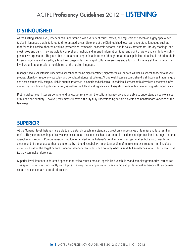## **DISTINGUISHED**

At the Distinguished level, listeners can understand a wide variety of forms, styles, and registers of speech on highly specialized topics in language that is tailored to different audiences. Listeners at the Distinguished level can understand language such as that found in classical theater, art films, professional symposia, academic debates, public policy statements, literary readings, and most jokes and puns. They are able to comprehend implicit and inferred information, tone, and point of view, and can follow highly persuasive arguments. They are able to understand unpredictable turns of thought related to sophisticated topics. In addition, their listening ability is enhanced by a broad and deep understanding of cultural references and allusions. Listeners at the Distinguished level are able to appreciate the richness of the spoken language.

Distinguished-level listeners understand speech that can be highly abstract, highly technical, or both, as well as speech that contains very precise, often low-frequency vocabulary and complex rhetorical structures. At this level, listeners comprehend oral discourse that is lengthy and dense, structurally complex, rich in cultural reference, idiomatic and colloquial. In addition, listeners at this level can understand information that is subtle or highly specialized, as well as the full cultural significance of very short texts with little or no linguistic redundancy.

Distinguished-level listeners comprehend language from within the cultural framework and are able to understand a speaker's use of nuance and subtlety. However, they may still have difficulty fully understanding certain dialects and nonstandard varieties of the language.

## **SUPERIOR**

At the Superior level, listeners are able to understand speech in a standard dialect on a wide range of familiar and less familiar topics. They can follow linguistically complex extended discourse such as that found in academic and professional settings, lectures, speeches and reports. Comprehension is no longer limited to the listener's familiarity with subject matter, but also comes from a command of the language that is supported by a broad vocabulary, an understanding of more complex structures and linguistic experience within the target culture. Superior listeners can understand not only what is said, but sometimes what is left unsaid; that is, they can make inferences.

Superior-level listeners understand speech that typically uses precise, specialized vocabulary and complex grammatical structures. This speech often deals abstractly with topics in a way that is appropriate for academic and professional audiences. It can be reasoned and can contain cultural references.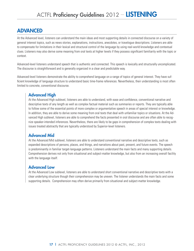## ADVANCED

At the Advanced level, listeners can understand the main ideas and most supporting details in connected discourse on a variety of general interest topics, such as news stories, explanations, instructions, anecdotes, or travelogue descriptions. Listeners are able to compensate for limitations in their lexical and structural control of the language by using real-world knowledge and contextual clues. Listeners may also derive some meaning from oral texts at higher levels if they possess significant familiarity with the topic or context.

Advanced-level listeners understand speech that is authentic and connected. This speech is lexically and structurally uncomplicated. The discourse is straightforward and is generally organized in a clear and predictable way.

Advanced-level listeners demonstrate the ability to comprehend language on a range of topics of general interest. They have sufficient knowledge of language structure to understand basic time-frame references. Nevertheless, their understanding is most often limited to concrete, conventional discourse.

#### Advanced High

At the Advanced High sublevel, listeners are able to understand, with ease and confidence, conventional narrative and descriptive texts of any length as well as complex factual material such as summaries or reports. They are typically able to follow some of the essential points of more complex or argumentative speech in areas of special interest or knowledge. In addition, they are able to derive some meaning from oral texts that deal with unfamiliar topics or situations. At the Advanced High sublevel, listeners are able to comprehend the facts presented in oral discourse and are often able to recognize speaker-intended inferences. Nevertheless, there are likely to be gaps in comprehension of complex texts dealing with issues treated abstractly that are typically understood by Superior-level listeners.

#### Advanced Mid

At the Advanced Mid sublevel, listeners are able to understand conventional narrative and descriptive texts, such as expanded descriptions of persons, places, and things, and narrations about past, present, and future events. The speech is predominantly in familiar target-language patterns. Listeners understand the main facts and many supporting details. Comprehension derives not only from situational and subject-matter knowledge, but also from an increasing overall facility with the language itself.

#### Advanced Low

At the Advanced Low sublevel, listeners are able to understand short conventional narrative and descriptive texts with a clear underlying structure though their comprehension may be uneven. The listener understands the main facts and some supporting details. Comprehension may often derive primarily from situational and subject-matter knowledge.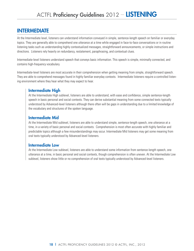## INTERMEDIATE

At the Intermediate level, listeners can understand information conveyed in simple, sentence-length speech on familiar or everyday topics. They are generally able to comprehend one utterance at a time while engaged in face-to-face conversations or in routine listening tasks such as understanding highly contextualized messages, straightforward announcements, or simple instructions and directions. Listeners rely heavily on redundancy, restatement, paraphrasing, and contextual clues.

Intermediate-level listeners understand speech that conveys basic information. This speech is simple, minimally connected, and contains high-frequency vocabulary.

Intermediate-level listeners are most accurate in their comprehension when getting meaning from simple, straightforward speech. They are able to comprehend messages found in highly familiar everyday contexts. Intermediate listeners require a controlled listening environment where they hear what they may expect to hear.

#### Intermediate High

At the Intermediate High sublevel, listeners are able to understand, with ease and confidence, simple sentence-length speech in basic personal and social contexts. They can derive substantial meaning from some connected texts typically understood by Advanced-level listeners although there often will be gaps in understanding due to a limited knowledge of the vocabulary and structures of the spoken language.

#### Intermediate Mid

At the Intermediate Mid sublevel, listeners are able to understand simple, sentence-length speech, one utterance at a time, in a variety of basic personal and social contexts. Comprehension is most often accurate with highly familiar and predictable topics although a few misunderstandings may occur. Intermediate Mid listeners may get some meaning from oral texts typically understood by Advanced-level listeners.

#### Intermediate Low

At the Intermediate Low sublevel, listeners are able to understand some information from sentence-length speech, one utterance at a time, in basic personal and social contexts, though comprehension is often uneven. At the Intermediate Low sublevel, listeners show little or no comprehension of oral texts typically understood by Advanced-level listeners.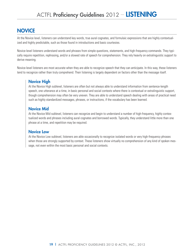## **NOVICE**

At the Novice level, listeners can understand key words, true aural cognates, and formulaic expressions that are highly contextualized and highly predictable, such as those found in introductions and basic courtesies.

Novice-level listeners understand words and phrases from simple questions, statements, and high-frequency commands. They typically require repetition, rephrasing, and/or a slowed rate of speech for comprehension. They rely heavily on extralinguistic support to derive meaning.

Novice-level listeners are most accurate when they are able to recognize speech that they can anticipate. In this way, these listeners tend to recognize rather than truly comprehend. Their listening is largely dependent on factors other than the message itself.

#### Novice High

At the Novice High sublevel, listeners are often but not always able to understand information from sentence-length speech, one utterance at a time, in basic personal and social contexts where there is contextual or extralinguistic support, though comprehension may often be very uneven. They are able to understand speech dealing with areas of practical need such as highly standardized messages, phrases, or instructions, if the vocabulary has been learned.

#### Novice Mid

At the Novice Mid sublevel, listeners can recognize and begin to understand a number of high-frequency, highly contextualized words and phrases including aural cognates and borrowed words. Typically, they understand little more than one phrase at a time, and repetition may be required.

#### Novice Low

At the Novice Low sublevel, listeners are able occasionally to recognize isolated words or very high-frequency phrases when those are strongly supported by context. These listeners show virtually no comprehension of any kind of spoken message, not even within the most basic personal and social contexts.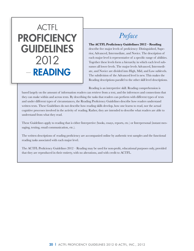## **ACTFL PROFICIENCY** GUIDELINES 2012  *–* READING

## *Preface*

**The ACTFL Proficiency Guidelines 2012 – Reading** describe five major levels of proficiency: Distinguished, Superior, Advanced, Intermediate, and Novice. The description of each major level is representative of a specific range of abilities. Together these levels form a hierarchy in which each level subsumes all lower levels. The major levels Advanced, Intermediate, and Novice are divided into High, Mid, and Low sublevels. The subdivision of the Advanced level is new. This makes the Reading descriptions parallel to the other skill level descriptions.

Reading is an interpretive skill. Reading comprehension is

based largely on the amount of information readers can retrieve from a text, and the inferences and connections that they can make within and across texts. By describing the tasks that readers can perform with different types of texts and under different types of circumstances, the Reading Proficiency Guidelines describe how readers understand written texts. These Guidelines do not describe how reading skills develop, how one learns to read, nor the actual cognitive processes involved in the activity of reading. Rather, they are intended to describe what readers are able to understand from what they read.

These Guidelines apply to reading that is either Interpretive (books, essays, reports, etc.) or Interpersonal (instant messaging, texting, email communication, etc.).

The written descriptions of reading proficiency are accompanied online by authentic text samples and the functional reading tasks associated with each major level.

The ACTFL Proficiency Guidelines 2012 – Reading may be used for non-profit, educational purposes only, provided that they are reproduced in their entirety, with no alterations, and with credit to ACTFL.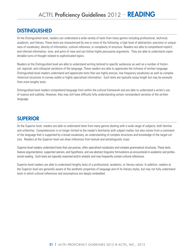## **DISTINGUISHED**

At the Distinguished level, readers can understand a wide variety of texts from many genres including professional, technical, academic, and literary. These texts are characterized by one or more of the following: a high level of abstraction, precision or uniqueness of vocabulary; density of information; cultural reference; or complexity of structure. Readers are able to comprehend implicit and inferred information, tone, and point of view and can follow highly persuasive arguments. They are able to understand unpredictable turns of thought related to sophisticated topics.

Readers at the Distinguished level are able to understand writing tailored to specific audiences as well as a number of historical, regional, and colloquial variations of the language. These readers are able to appreciate the richness of written language. Distinguished-level readers understand and appreciate texts that use highly precise, low-frequency vocabulary as well as complex rhetorical structures to convey subtle or highly specialized information. Such texts are typically essay length but may be excerpts from more lengthy texts.

Distinguished-level readers comprehend language from within the cultural framework and are able to understand a writer's use of nuance and subtlety. However, they may still have difficulty fully understanding certain nonstandard varieties of the written language.

## SUPERIOR

At the Superior level, readers are able to understand texts from many genres dealing with a wide range of subjects, both familiar and unfamiliar. Comprehension is no longer limited to the reader's familiarity with subject matter, but also comes from a command of the language that is supported by a broad vocabulary, an understanding of complex structures and knowledge of the target culture. Readers at the Superior level can draw inferences from textual and extralinguistic clues.

Superior-level readers understand texts that use precise, often specialized vocabulary and complex grammatical structures. These texts feature argumentation, supported opinion, and hypothesis, and use abstract linguistic formulations as encountered in academic and professional reading. Such texts are typically reasoned and/or analytic and may frequently contain cultural references.

Superior-level readers are able to understand lengthy texts of a professional, academic, or literary nature. In addition, readers at the Superior level are generally aware of the aesthetic properties of language and of its literary styles, but may not fully understand texts in which cultural references and assumptions are deeply embedded.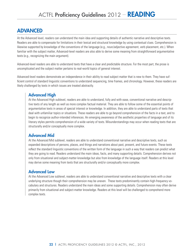## ADVANCED

At the Advanced level, readers can understand the main idea and supporting details of authentic narrative and descriptive texts. Readers are able to compensate for limitations in their lexical and structural knowledge by using contextual clues. Comprehension is likewise supported by knowledge of the conventions of the language (e.g., noun/adjective agreement, verb placement, etc.). When familiar with the subject matter, Advanced-level readers are also able to derive some meaning from straightforward argumentative texts (e.g., recognizing the main argument).

Advanced-level readers are able to understand texts that have a clear and predictable structure. For the most part, the prose is uncomplicated and the subject matter pertains to real-world topics of general interest.

Advanced-level readers demonstrate an independence in their ability to read subject matter that is new to them. They have sufficient control of standard linguistic conventions to understand sequencing, time frames, and chronology. However, these readers are likely challenged by texts in which issues are treated abstractly.

#### Advanced High

At the Advanced High sublevel, readers are able to understand, fully and with ease, conventional narrative and descriptive texts of any length as well as more complex factual material. They are able to follow some of the essential points of argumentative texts in areas of special interest or knowledge. In addition, they are able to understand parts of texts that deal with unfamiliar topics or situations. These readers are able to go beyond comprehension of the facts in a text, and to begin to recognize author-intended inferences. An emerging awareness of the aesthetic properties of language and of its literary styles permits comprehension of a wide variety of texts. Misunderstandings may occur when reading texts that are structurally and/or conceptually more complex.

#### Advanced Mid

At the Advanced Mid sublevel, readers are able to understand conventional narrative and descriptive texts, such as expanded descriptions of persons, places, and things and narrations about past, present, and future events. These texts reflect the standard linguistic conventions of the written form of the language in such a way that readers can predict what they are going to read. Readers understand the main ideas, facts, and many supporting details. Comprehension derives not only from situational and subject-matter knowledge but also from knowledge of the language itself. Readers at this level may derive some meaning from texts that are structurally and/or conceptually more complex.

#### Advanced Low

At the Advanced Low sublevel, readers are able to understand conventional narrative and descriptive texts with a clear underlying structure though their comprehension may be uneven. These texts predominantly contain high-frequency vocabulary and structures. Readers understand the main ideas and some supporting details. Comprehension may often derive primarily from situational and subject-matter knowledge. Readers at this level will be challenged to comprehend more complex texts.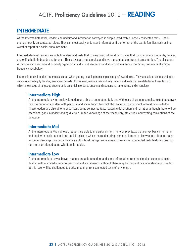## INTERMEDIATE

At the Intermediate level, readers can understand information conveyed in simple, predictable, loosely connected texts. Readers rely heavily on contextual clues. They can most easily understand information if the format of the text is familiar, such as in a weather report or a social announcement.

Intermediate-level readers are able to understand texts that convey basic information such as that found in announcements, notices, and online bulletin boards and forums. These texts are not complex and have a predictable pattern of presentation. The discourse is minimally connected and primarily organized in individual sentences and strings of sentences containing predominantly highfrequency vocabulary.

Intermediate-level readers are most accurate when getting meaning from simple, straightforward texts. They are able to understand messages found in highly familiar, everyday contexts. At this level, readers may not fully understand texts that are detailed or those texts in which knowledge of language structures is essential in order to understand sequencing, time frame, and chronology.

#### Intermediate High

At the Intermediate High sublevel, readers are able to understand fully and with ease short, non-complex texts that convey basic information and deal with personal and social topics to which the reader brings personal interest or knowledge. These readers are also able to understand some connected texts featuring description and narration although there will be occasional gaps in understanding due to a limited knowledge of the vocabulary, structures, and writing conventions of the language.

#### Intermediate Mid

At the Intermediate Mid sublevel, readers are able to understand short, non-complex texts that convey basic information and deal with basic personal and social topics to which the reader brings personal interest or knowledge, although some misunderstandings may occur. Readers at this level may get some meaning from short connected texts featuring description and narration, dealing with familiar topics.

#### Intermediate Low

At the Intermediate Low sublevel, readers are able to understand some information from the simplest connected texts dealing with a limited number of personal and social needs, although there may be frequent misunderstandings. Readers at this level will be challenged to derive meaning from connected texts of any length.